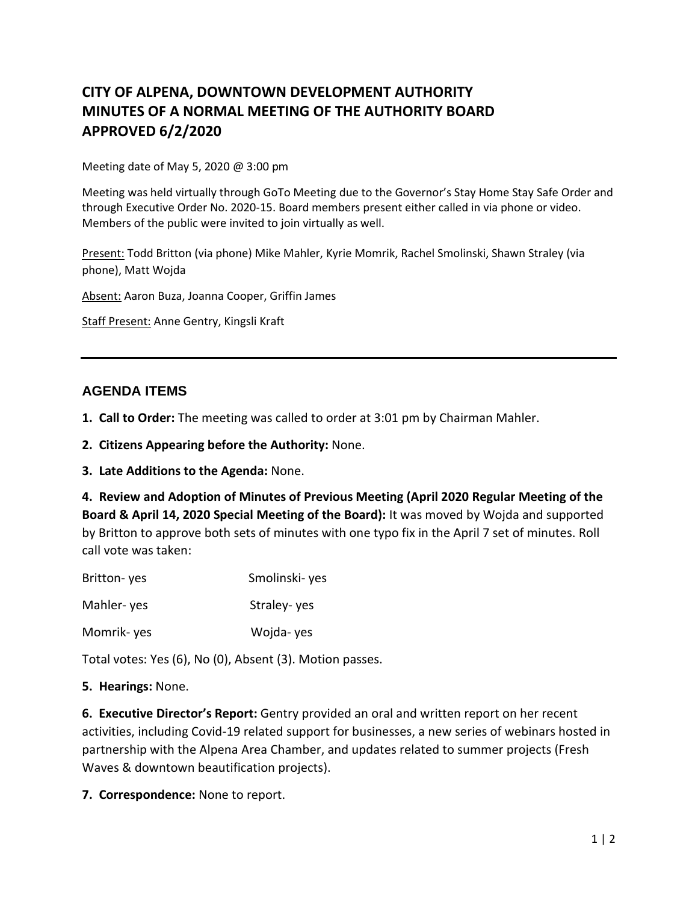# **CITY OF ALPENA, DOWNTOWN DEVELOPMENT AUTHORITY MINUTES OF A NORMAL MEETING OF THE AUTHORITY BOARD APPROVED 6/2/2020**

Meeting date of May 5, 2020 @ 3:00 pm

Meeting was held virtually through GoTo Meeting due to the Governor's Stay Home Stay Safe Order and through Executive Order No. 2020-15. Board members present either called in via phone or video. Members of the public were invited to join virtually as well.

Present: Todd Britton (via phone) Mike Mahler, Kyrie Momrik, Rachel Smolinski, Shawn Straley (via phone), Matt Wojda

Absent: Aaron Buza, Joanna Cooper, Griffin James

Staff Present: Anne Gentry, Kingsli Kraft

## **AGENDA ITEMS**

- **1. Call to Order:** The meeting was called to order at 3:01 pm by Chairman Mahler.
- **2. Citizens Appearing before the Authority:** None.
- **3. Late Additions to the Agenda:** None.

**4. Review and Adoption of Minutes of Previous Meeting (April 2020 Regular Meeting of the Board & April 14, 2020 Special Meeting of the Board):** It was moved by Wojda and supported by Britton to approve both sets of minutes with one typo fix in the April 7 set of minutes. Roll call vote was taken:

| Britton-yes | Smolinski-yes |
|-------------|---------------|
| Mahler-yes  | Straley-yes   |
| Momrik-yes  | Wojda-yes     |

Total votes: Yes (6), No (0), Absent (3). Motion passes.

### **5. Hearings:** None.

**6. Executive Director's Report:** Gentry provided an oral and written report on her recent activities, including Covid-19 related support for businesses, a new series of webinars hosted in partnership with the Alpena Area Chamber, and updates related to summer projects (Fresh Waves & downtown beautification projects).

**7. Correspondence:** None to report.